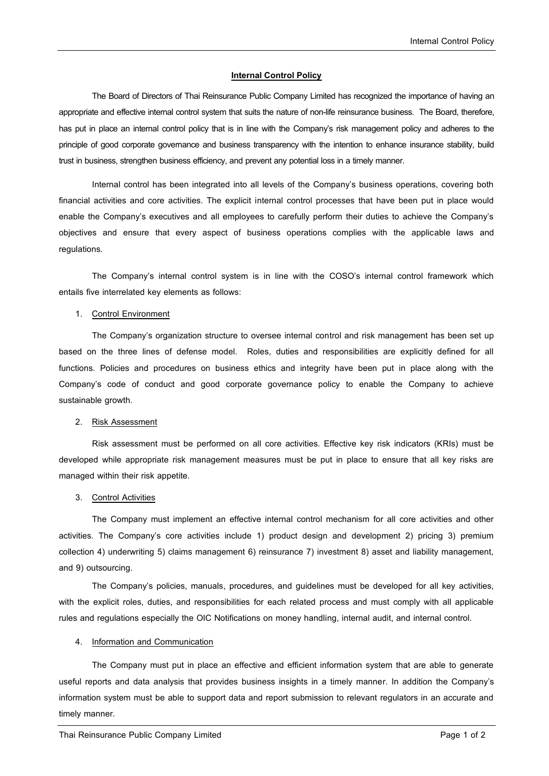## **Internal Control Policy**

The Board of Directors of Thai Reinsurance Public Company Limited has recognized the importance of having an appropriate and effective internal control system that suits the nature of non-life reinsurance business. The Board, therefore, has put in place an internal control policy that is in line with the Company's risk management policy and adheres to the principle of good corporate governance and business transparency with the intention to enhance insurance stability, build trust in business, strengthen business efficiency, and prevent any potential loss in a timely manner.

Internal control has been integrated into all levels of the Company's business operations, covering both financial activities and core activities. The explicit internal control processes that have been put in place would enable the Company's executives and all employees to carefully perform their duties to achieve the Company's objectives and ensure that every aspect of business operations complies with the applicable laws and regulations.

The Company's internal control system is in line with the COSO's internal control framework which entails five interrelated key elements as follows:

#### 1. Control Environment

The Company's organization structure to oversee internal control and risk management has been set up based on the three lines of defense model. Roles, duties and responsibilities are explicitly defined for all functions. Policies and procedures on business ethics and integrity have been put in place along with the Company's code of conduct and good corporate governance policy to enable the Company to achieve sustainable growth.

## 2. Risk Assessment

Risk assessment must be performed on all core activities. Effective key risk indicators (KRIs) must be developed while appropriate risk management measures must be put in place to ensure that all key risks are managed within their risk appetite.

#### 3. Control Activities

The Company must implement an effective internal control mechanism for all core activities and other activities. The Company's core activities include 1) product design and development 2) pricing 3) premium collection 4) underwriting 5) claims management 6) reinsurance 7) investment 8) asset and liability management, and 9) outsourcing.

The Company's policies, manuals, procedures, and guidelines must be developed for all key activities, with the explicit roles, duties, and responsibilities for each related process and must comply with all applicable rules and regulations especially the OIC Notifications on money handling, internal audit, and internal control.

## 4. Information and Communication

The Company must put in place an effective and efficient information system that are able to generate useful reports and data analysis that provides business insights in a timely manner. In addition the Company's information system must be able to support data and report submission to relevant regulators in an accurate and timely manner.